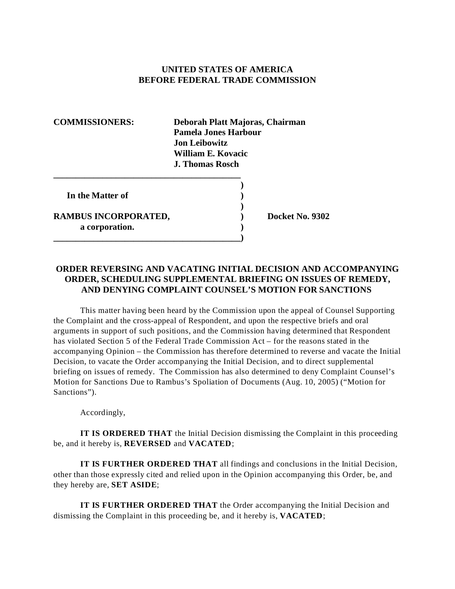## **UNITED STATES OF AMERICA BEFORE FEDERAL TRADE COMMISSION**

**COMMISSIONERS: Deborah Platt Majoras, Chairman Pamela Jones Harbour Jon Leibowitz William E. Kovacic J. Thomas Rosch** 

**)** 

**)** 

**In the Matter of )** 

**RAMBUS INCORPORATED, ) Docket No. 9302 a corporation. )** 

**\_\_\_\_\_\_\_\_\_\_\_\_\_\_\_\_\_\_\_\_\_\_\_\_\_\_\_\_\_\_\_\_\_\_\_\_\_\_\_\_\_\_** 

**\_\_\_\_\_\_\_\_\_\_\_\_\_\_\_\_\_\_\_\_\_\_\_\_\_\_\_\_\_\_\_\_\_\_\_\_\_\_\_\_\_\_)** 

## **ORDER REVERSING AND VACATING INITIAL DECISION AND ACCOMPANYING ORDER, SCHEDULING SUPPLEMENTAL BRIEFING ON ISSUES OF REMEDY, AND DENYING COMPLAINT COUNSEL'S MOTION FOR SANCTIONS**

This matter having been heard by the Commission upon the appeal of Counsel Supporting the Complaint and the cross-appeal of Respondent, and upon the respective briefs and oral arguments in support of such positions, and the Commission having determined that Respondent has violated Section 5 of the Federal Trade Commission Act – for the reasons stated in the accompanying Opinion – the Commission has therefore determined to reverse and vacate the Initial Decision, to vacate the Order accompanying the Initial Decision, and to direct supplemental briefing on issues of remedy. The Commission has also determined to deny Complaint Counsel's Motion for Sanctions Due to Rambus's Spoliation of Documents (Aug. 10, 2005) ("Motion for Sanctions").

Accordingly,

**IT IS ORDERED THAT** the Initial Decision dismissing the Complaint in this proceeding be, and it hereby is, **REVERSED** and **VACATED**;

**IT IS FURTHER ORDERED THAT** all findings and conclusions in the Initial Decision, other than those expressly cited and relied upon in the Opinion accompanying this Order, be, and they hereby are, **SET ASIDE**;

**IT IS FURTHER ORDERED THAT** the Order accompanying the Initial Decision and dismissing the Complaint in this proceeding be, and it hereby is, **VACATED**;